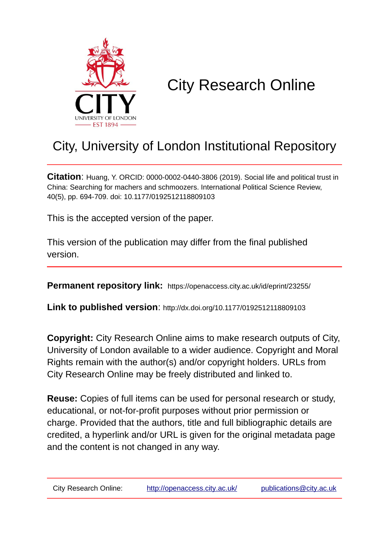

# City Research Online

## City, University of London Institutional Repository

**Citation**: Huang, Y. ORCID: 0000-0002-0440-3806 (2019). Social life and political trust in China: Searching for machers and schmoozers. International Political Science Review, 40(5), pp. 694-709. doi: 10.1177/0192512118809103

This is the accepted version of the paper.

This version of the publication may differ from the final published version.

**Permanent repository link:** https://openaccess.city.ac.uk/id/eprint/23255/

**Link to published version**: http://dx.doi.org/10.1177/0192512118809103

**Copyright:** City Research Online aims to make research outputs of City, University of London available to a wider audience. Copyright and Moral Rights remain with the author(s) and/or copyright holders. URLs from City Research Online may be freely distributed and linked to.

**Reuse:** Copies of full items can be used for personal research or study, educational, or not-for-profit purposes without prior permission or charge. Provided that the authors, title and full bibliographic details are credited, a hyperlink and/or URL is given for the original metadata page and the content is not changed in any way.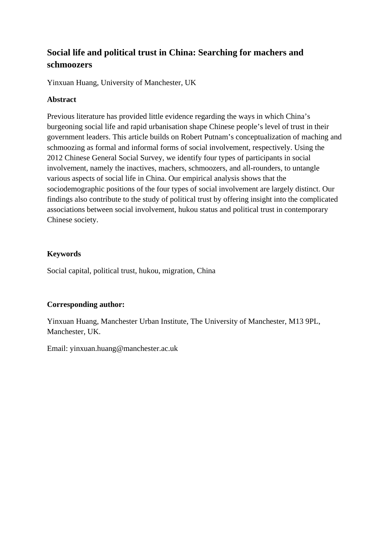## **Social life and political trust in China: Searching for machers and schmoozers**

Yinxuan Huang, University of Manchester, UK

## **Abstract**

Previous literature has provided little evidence regarding the ways in which China's burgeoning social life and rapid urbanisation shape Chinese people's level of trust in their government leaders. This article builds on Robert Putnam's conceptualization of maching and schmoozing as formal and informal forms of social involvement, respectively. Using the 2012 Chinese General Social Survey, we identify four types of participants in social involvement, namely the inactives, machers, schmoozers, and all-rounders, to untangle various aspects of social life in China. Our empirical analysis shows that the sociodemographic positions of the four types of social involvement are largely distinct. Our findings also contribute to the study of political trust by offering insight into the complicated associations between social involvement, hukou status and political trust in contemporary Chinese society.

## **Keywords**

Social capital, political trust, hukou, migration, China

## **Corresponding author:**

Yinxuan Huang, Manchester Urban Institute, The University of Manchester, M13 9PL, Manchester, UK.

Email: yinxuan.huang@manchester.ac.uk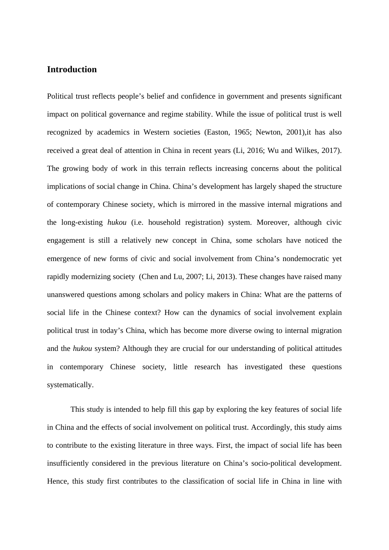#### **Introduction**

Political trust reflects people's belief and confidence in government and presents significant impact on political governance and regime stability. While the issue of political trust is well recognized by academics in Western societies (Easton, 1965; Newton, 2001),it has also received a great deal of attention in China in recent years (Li, 2016; Wu and Wilkes, 2017). The growing body of work in this terrain reflects increasing concerns about the political implications of social change in China. China's development has largely shaped the structure of contemporary Chinese society, which is mirrored in the massive internal migrations and the long-existing *hukou* (i.e. household registration) system. Moreover, although civic engagement is still a relatively new concept in China, some scholars have noticed the emergence of new forms of civic and social involvement from China's nondemocratic yet rapidly modernizing society (Chen and Lu, 2007; Li, 2013). These changes have raised many unanswered questions among scholars and policy makers in China: What are the patterns of social life in the Chinese context? How can the dynamics of social involvement explain political trust in today's China, which has become more diverse owing to internal migration and the *hukou* system? Although they are crucial for our understanding of political attitudes in contemporary Chinese society, little research has investigated these questions systematically.

This study is intended to help fill this gap by exploring the key features of social life in China and the effects of social involvement on political trust. Accordingly, this study aims to contribute to the existing literature in three ways. First, the impact of social life has been insufficiently considered in the previous literature on China's socio-political development. Hence, this study first contributes to the classification of social life in China in line with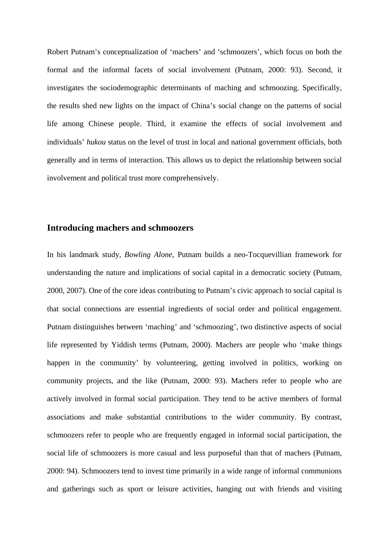Robert Putnam's conceptualization of 'machers' and 'schmoozers', which focus on both the formal and the informal facets of social involvement (Putnam, 2000: 93). Second, it investigates the sociodemographic determinants of maching and schmoozing. Specifically, the results shed new lights on the impact of China's social change on the patterns of social life among Chinese people. Third, it examine the effects of social involvement and individuals' *hukou* status on the level of trust in local and national government officials, both generally and in terms of interaction. This allows us to depict the relationship between social involvement and political trust more comprehensively.

## **Introducing machers and schmoozers**

In his landmark study, *Bowling Alone*, Putnam builds a neo-Tocquevillian framework for understanding the nature and implications of social capital in a democratic society (Putnam, 2000, 2007). One of the core ideas contributing to Putnam's civic approach to social capital is that social connections are essential ingredients of social order and political engagement. Putnam distinguishes between 'maching' and 'schmoozing', two distinctive aspects of social life represented by Yiddish terms (Putnam, 2000). Machers are people who 'make things happen in the community' by volunteering, getting involved in politics, working on community projects, and the like (Putnam, 2000: 93). Machers refer to people who are actively involved in formal social participation. They tend to be active members of formal associations and make substantial contributions to the wider community. By contrast, schmoozers refer to people who are frequently engaged in informal social participation, the social life of schmoozers is more casual and less purposeful than that of machers (Putnam, 2000: 94). Schmoozers tend to invest time primarily in a wide range of informal communions and gatherings such as sport or leisure activities, hanging out with friends and visiting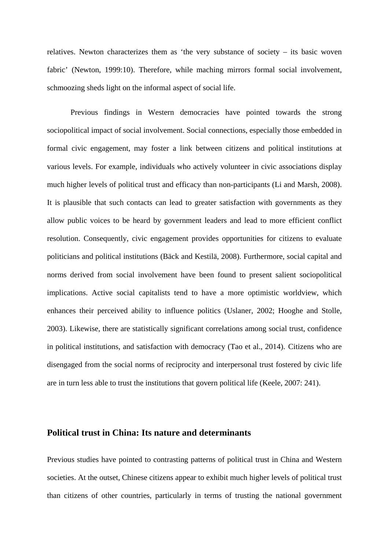relatives. Newton characterizes them as 'the very substance of society – its basic woven fabric' (Newton, 1999:10). Therefore, while maching mirrors formal social involvement, schmoozing sheds light on the informal aspect of social life.

Previous findings in Western democracies have pointed towards the strong sociopolitical impact of social involvement. Social connections, especially those embedded in formal civic engagement, may foster a link between citizens and political institutions at various levels. For example, individuals who actively volunteer in civic associations display much higher levels of political trust and efficacy than non-participants (Li and Marsh, 2008). It is plausible that such contacts can lead to greater satisfaction with governments as they allow public voices to be heard by government leaders and lead to more efficient conflict resolution. Consequently, civic engagement provides opportunities for citizens to evaluate politicians and political institutions (Bäck and Kestilä, 2008). Furthermore, social capital and norms derived from social involvement have been found to present salient sociopolitical implications. Active social capitalists tend to have a more optimistic worldview, which enhances their perceived ability to influence politics (Uslaner, 2002; Hooghe and Stolle, 2003). Likewise, there are statistically significant correlations among social trust, confidence in political institutions, and satisfaction with democracy (Tao et al., 2014). Citizens who are disengaged from the social norms of reciprocity and interpersonal trust fostered by civic life are in turn less able to trust the institutions that govern political life (Keele, 2007: 241).

#### **Political trust in China: Its nature and determinants**

Previous studies have pointed to contrasting patterns of political trust in China and Western societies. At the outset, Chinese citizens appear to exhibit much higher levels of political trust than citizens of other countries, particularly in terms of trusting the national government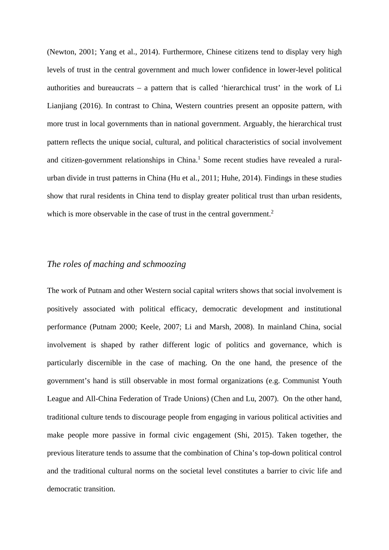(Newton, 2001; Yang et al., 2014). Furthermore, Chinese citizens tend to display very high levels of trust in the central government and much lower confidence in lower-level political authorities and bureaucrats – a pattern that is called 'hierarchical trust' in the work of Li Lianjiang (2016). In contrast to China, Western countries present an opposite pattern, with more trust in local governments than in national government. Arguably, the hierarchical trust pattern reflects the unique social, cultural, and political characteristics of social involvement and citizen-government relationships in China. <sup>1</sup> Some recent studies have revealed a ruralurban divide in trust patterns in China (Hu et al., 2011; Huhe, 2014). Findings in these studies show that rural residents in China tend to display greater political trust than urban residents, which is more observable in the case of trust in the central government.<sup>2</sup>

## *The roles of maching and schmoozing*

The work of Putnam and other Western social capital writers shows that social involvement is positively associated with political efficacy, democratic development and institutional performance (Putnam 2000; Keele, 2007; Li and Marsh, 2008). In mainland China, social involvement is shaped by rather different logic of politics and governance, which is particularly discernible in the case of maching. On the one hand, the presence of the government's hand is still observable in most formal organizations (e.g. Communist Youth League and All-China Federation of Trade Unions) (Chen and Lu, 2007). On the other hand, traditional culture tends to discourage people from engaging in various political activities and make people more passive in formal civic engagement (Shi, 2015). Taken together, the previous literature tends to assume that the combination of China's top-down political control and the traditional cultural norms on the societal level constitutes a barrier to civic life and democratic transition.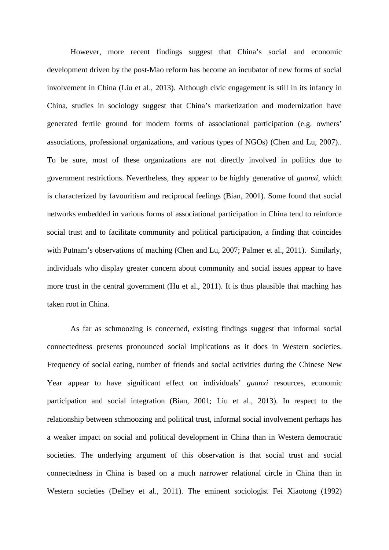However, more recent findings suggest that China's social and economic development driven by the post-Mao reform has become an incubator of new forms of social involvement in China (Liu et al., 2013). Although civic engagement is still in its infancy in China, studies in sociology suggest that China's marketization and modernization have generated fertile ground for modern forms of associational participation (e.g. owners' associations, professional organizations, and various types of NGOs) (Chen and Lu, 2007).. To be sure, most of these organizations are not directly involved in politics due to government restrictions. Nevertheless, they appear to be highly generative of *guanxi*, which is characterized by favouritism and reciprocal feelings (Bian, 2001). Some found that social networks embedded in various forms of associational participation in China tend to reinforce social trust and to facilitate community and political participation, a finding that coincides with Putnam's observations of maching (Chen and Lu, 2007; Palmer et al., 2011). Similarly, individuals who display greater concern about community and social issues appear to have more trust in the central government (Hu et al., 2011). It is thus plausible that maching has taken root in China.

As far as schmoozing is concerned, existing findings suggest that informal social connectedness presents pronounced social implications as it does in Western societies. Frequency of social eating, number of friends and social activities during the Chinese New Year appear to have significant effect on individuals' *guanxi* resources, economic participation and social integration (Bian, 2001; Liu et al., 2013). In respect to the relationship between schmoozing and political trust, informal social involvement perhaps has a weaker impact on social and political development in China than in Western democratic societies. The underlying argument of this observation is that social trust and social connectedness in China is based on a much narrower relational circle in China than in Western societies (Delhey et al., 2011). The eminent sociologist Fei Xiaotong (1992)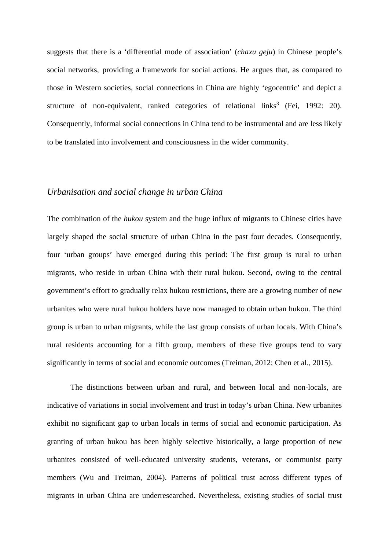suggests that there is a 'differential mode of association' (*chaxu geju*) in Chinese people's social networks, providing a framework for social actions. He argues that, as compared to those in Western societies, social connections in China are highly 'egocentric' and depict a structure of non-equivalent, ranked categories of relational links<sup>3</sup> (Fei, 1992: 20). Consequently, informal social connections in China tend to be instrumental and are less likely to be translated into involvement and consciousness in the wider community.

#### *Urbanisation and social change in urban China*

The combination of the *hukou* system and the huge influx of migrants to Chinese cities have largely shaped the social structure of urban China in the past four decades. Consequently, four 'urban groups' have emerged during this period: The first group is rural to urban migrants, who reside in urban China with their rural hukou. Second, owing to the central government's effort to gradually relax hukou restrictions, there are a growing number of new urbanites who were rural hukou holders have now managed to obtain urban hukou. The third group is urban to urban migrants, while the last group consists of urban locals. With China's rural residents accounting for a fifth group, members of these five groups tend to vary significantly in terms of social and economic outcomes (Treiman, 2012; Chen et al., 2015).

The distinctions between urban and rural, and between local and non-locals, are indicative of variations in social involvement and trust in today's urban China. New urbanites exhibit no significant gap to urban locals in terms of social and economic participation. As granting of urban hukou has been highly selective historically, a large proportion of new urbanites consisted of well-educated university students, veterans, or communist party members (Wu and Treiman, 2004). Patterns of political trust across different types of migrants in urban China are underresearched. Nevertheless, existing studies of social trust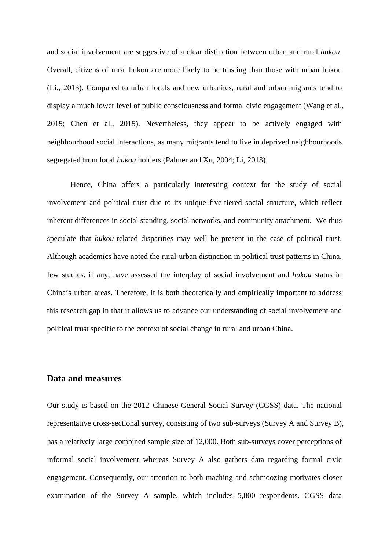and social involvement are suggestive of a clear distinction between urban and rural *hukou*. Overall, citizens of rural hukou are more likely to be trusting than those with urban hukou (Li., 2013). Compared to urban locals and new urbanites, rural and urban migrants tend to display a much lower level of public consciousness and formal civic engagement (Wang et al., 2015; Chen et al., 2015). Nevertheless, they appear to be actively engaged with neighbourhood social interactions, as many migrants tend to live in deprived neighbourhoods segregated from local *hukou* holders (Palmer and Xu, 2004; Li, 2013).

Hence, China offers a particularly interesting context for the study of social involvement and political trust due to its unique five-tiered social structure, which reflect inherent differences in social standing, social networks, and community attachment. We thus speculate that *hukou*-related disparities may well be present in the case of political trust. Although academics have noted the rural-urban distinction in political trust patterns in China, few studies, if any, have assessed the interplay of social involvement and *hukou* status in China's urban areas. Therefore, it is both theoretically and empirically important to address this research gap in that it allows us to advance our understanding of social involvement and political trust specific to the context of social change in rural and urban China.

#### **Data and measures**

Our study is based on the 2012 Chinese General Social Survey (CGSS) data. The national representative cross-sectional survey, consisting of two sub-surveys (Survey A and Survey B), has a relatively large combined sample size of 12,000. Both sub-surveys cover perceptions of informal social involvement whereas Survey A also gathers data regarding formal civic engagement. Consequently, our attention to both maching and schmoozing motivates closer examination of the Survey A sample, which includes 5,800 respondents. CGSS data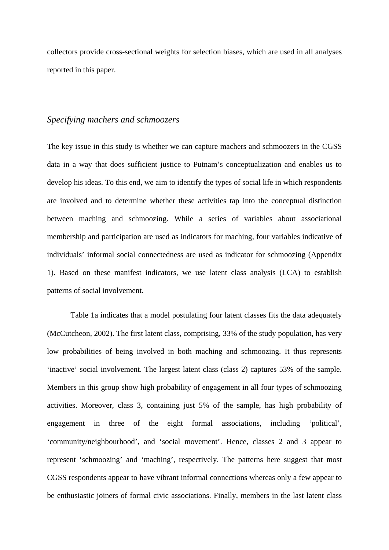collectors provide cross-sectional weights for selection biases, which are used in all analyses reported in this paper.

#### *Specifying machers and schmoozers*

The key issue in this study is whether we can capture machers and schmoozers in the CGSS data in a way that does sufficient justice to Putnam's conceptualization and enables us to develop his ideas. To this end, we aim to identify the types of social life in which respondents are involved and to determine whether these activities tap into the conceptual distinction between maching and schmoozing. While a series of variables about associational membership and participation are used as indicators for maching, four variables indicative of individuals' informal social connectedness are used as indicator for schmoozing (Appendix 1). Based on these manifest indicators, we use latent class analysis (LCA) to establish patterns of social involvement.

Table 1a indicates that a model postulating four latent classes fits the data adequately (McCutcheon, 2002). The first latent class, comprising, 33% of the study population, has very low probabilities of being involved in both maching and schmoozing. It thus represents 'inactive' social involvement. The largest latent class (class 2) captures 53% of the sample. Members in this group show high probability of engagement in all four types of schmoozing activities. Moreover, class 3, containing just 5% of the sample, has high probability of engagement in three of the eight formal associations, including 'political', 'community/neighbourhood', and 'social movement'. Hence, classes 2 and 3 appear to represent 'schmoozing' and 'maching', respectively. The patterns here suggest that most CGSS respondents appear to have vibrant informal connections whereas only a few appear to be enthusiastic joiners of formal civic associations. Finally, members in the last latent class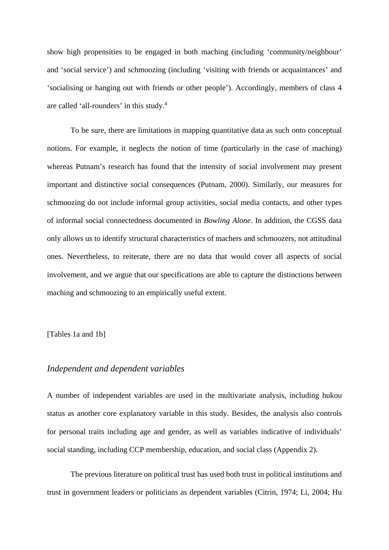show high propensities to be engaged in both maching (including 'community/neighbour' and 'social service') and schmoozing (including 'visiting with friends or acquaintances' and 'socialising or hanging out with friends or other people'). Accordingly, members of class 4 are called 'all-rounders' in this study. 4

To be sure, there are limitations in mapping quantitative data as such onto conceptual notions. For example, it neglects the notion of time (particularly in the case of maching) whereas Putnam's research has found that the intensity of social involvement may present important and distinctive social consequences (Putnam, 2000). Similarly, our measures for schmoozing do not include informal group activities, social media contacts, and other types of informal social connectedness documented in *Bowling Alone*. In addition, the CGSS data only allows us to identify structural characteristics of machers and schmoozers, not attitudinal ones. Nevertheless, to reiterate, there are no data that would cover all aspects of social involvement, and we argue that our specifications are able to capture the distinctions between maching and schmoozing to an empirically useful extent.

#### [Tables 1a and 1b]

#### *Independent and dependent variables*

A number of independent variables are used in the multivariate analysis, including hukou status as another core explanatory variable in this study. Besides, the analysis also controls for personal traits including age and gender, as well as variables indicative of individuals' social standing, including CCP membership, education, and social class (Appendix 2).

The previous literature on political trust has used both trust in political institutions and trust in government leaders or politicians as dependent variables (Citrin, 1974; Li, 2004; Hu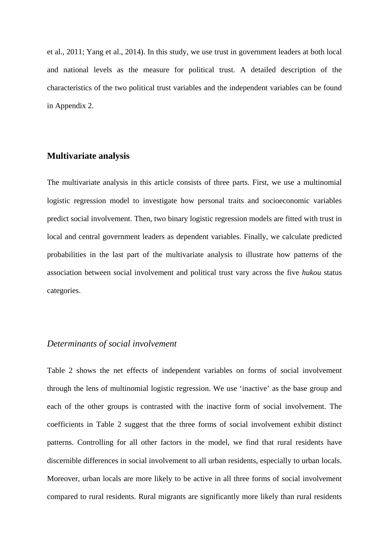et al., 2011; Yang et al., 2014). In this study, we use trust in government leaders at both local and national levels as the measure for political trust. A detailed description of the characteristics of the two political trust variables and the independent variables can be found in Appendix 2.

## **Multivariate analysis**

The multivariate analysis in this article consists of three parts. First, we use a multinomial logistic regression model to investigate how personal traits and socioeconomic variables predict social involvement. Then, two binary logistic regression models are fitted with trust in local and central government leaders as dependent variables. Finally, we calculate predicted probabilities in the last part of the multivariate analysis to illustrate how patterns of the association between social involvement and political trust vary across the five *hukou* status categories.

#### *Determinants of social involvement*

Table 2 shows the net effects of independent variables on forms of social involvement through the lens of multinomial logistic regression. We use 'inactive' as the base group and each of the other groups is contrasted with the inactive form of social involvement. The coefficients in Table 2 suggest that the three forms of social involvement exhibit distinct patterns. Controlling for all other factors in the model, we find that rural residents have discernible differences in social involvement to all urban residents, especially to urban locals. Moreover, urban locals are more likely to be active in all three forms of social involvement compared to rural residents. Rural migrants are significantly more likely than rural residents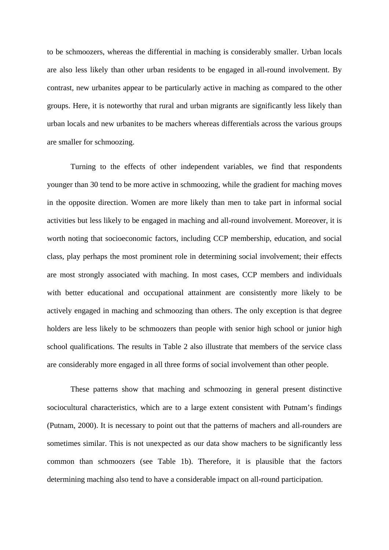to be schmoozers, whereas the differential in maching is considerably smaller. Urban locals are also less likely than other urban residents to be engaged in all-round involvement. By contrast, new urbanites appear to be particularly active in maching as compared to the other groups. Here, it is noteworthy that rural and urban migrants are significantly less likely than urban locals and new urbanites to be machers whereas differentials across the various groups are smaller for schmoozing.

Turning to the effects of other independent variables, we find that respondents younger than 30 tend to be more active in schmoozing, while the gradient for maching moves in the opposite direction. Women are more likely than men to take part in informal social activities but less likely to be engaged in maching and all-round involvement. Moreover, it is worth noting that socioeconomic factors, including CCP membership, education, and social class, play perhaps the most prominent role in determining social involvement; their effects are most strongly associated with maching. In most cases, CCP members and individuals with better educational and occupational attainment are consistently more likely to be actively engaged in maching and schmoozing than others. The only exception is that degree holders are less likely to be schmoozers than people with senior high school or junior high school qualifications. The results in Table 2 also illustrate that members of the service class are considerably more engaged in all three forms of social involvement than other people.

These patterns show that maching and schmoozing in general present distinctive sociocultural characteristics, which are to a large extent consistent with Putnam's findings (Putnam, 2000). It is necessary to point out that the patterns of machers and all-rounders are sometimes similar. This is not unexpected as our data show machers to be significantly less common than schmoozers (see Table 1b). Therefore, it is plausible that the factors determining maching also tend to have a considerable impact on all-round participation.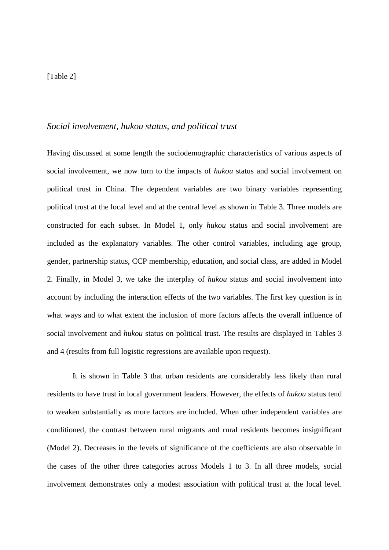#### [Table 2]

#### *Social involvement, hukou status, and political trust*

Having discussed at some length the sociodemographic characteristics of various aspects of social involvement, we now turn to the impacts of *hukou* status and social involvement on political trust in China. The dependent variables are two binary variables representing political trust at the local level and at the central level as shown in Table 3. Three models are constructed for each subset. In Model 1, only *hukou* status and social involvement are included as the explanatory variables. The other control variables, including age group, gender, partnership status, CCP membership, education, and social class, are added in Model 2. Finally, in Model 3, we take the interplay of *hukou* status and social involvement into account by including the interaction effects of the two variables. The first key question is in what ways and to what extent the inclusion of more factors affects the overall influence of social involvement and *hukou* status on political trust. The results are displayed in Tables 3 and 4 (results from full logistic regressions are available upon request).

It is shown in Table 3 that urban residents are considerably less likely than rural residents to have trust in local government leaders. However, the effects of *hukou* status tend to weaken substantially as more factors are included. When other independent variables are conditioned, the contrast between rural migrants and rural residents becomes insignificant (Model 2). Decreases in the levels of significance of the coefficients are also observable in the cases of the other three categories across Models 1 to 3. In all three models, social involvement demonstrates only a modest association with political trust at the local level.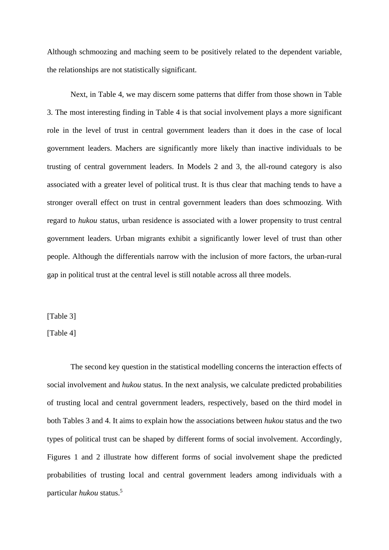Although schmoozing and maching seem to be positively related to the dependent variable, the relationships are not statistically significant.

Next, in Table 4, we may discern some patterns that differ from those shown in Table 3. The most interesting finding in Table 4 is that social involvement plays a more significant role in the level of trust in central government leaders than it does in the case of local government leaders. Machers are significantly more likely than inactive individuals to be trusting of central government leaders. In Models 2 and 3, the all-round category is also associated with a greater level of political trust. It is thus clear that maching tends to have a stronger overall effect on trust in central government leaders than does schmoozing. With regard to *hukou* status, urban residence is associated with a lower propensity to trust central government leaders. Urban migrants exhibit a significantly lower level of trust than other people. Although the differentials narrow with the inclusion of more factors, the urban-rural gap in political trust at the central level is still notable across all three models.

[Table 3]

[Table 4]

The second key question in the statistical modelling concerns the interaction effects of social involvement and *hukou* status. In the next analysis, we calculate predicted probabilities of trusting local and central government leaders, respectively, based on the third model in both Tables 3 and 4. It aims to explain how the associations between *hukou* status and the two types of political trust can be shaped by different forms of social involvement. Accordingly, Figures 1 and 2 illustrate how different forms of social involvement shape the predicted probabilities of trusting local and central government leaders among individuals with a particular *hukou* status. 5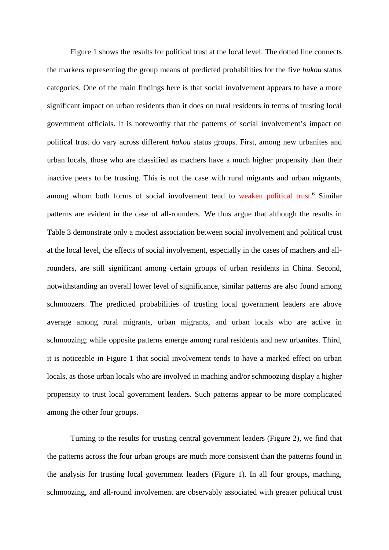Figure 1 shows the results for political trust at the local level. The dotted line connects the markers representing the group means of predicted probabilities for the five *hukou* status categories. One of the main findings here is that social involvement appears to have a more significant impact on urban residents than it does on rural residents in terms of trusting local government officials. It is noteworthy that the patterns of social involvement's impact on political trust do vary across different *hukou* status groups. First, among new urbanites and urban locals, those who are classified as machers have a much higher propensity than their inactive peers to be trusting. This is not the case with rural migrants and urban migrants, among whom both forms of social involvement tend to weaken political trust.<sup>6</sup> Similar patterns are evident in the case of all-rounders. We thus argue that although the results in Table 3 demonstrate only a modest association between social involvement and political trust at the local level, the effects of social involvement, especially in the cases of machers and allrounders, are still significant among certain groups of urban residents in China. Second, notwithstanding an overall lower level of significance, similar patterns are also found among schmoozers. The predicted probabilities of trusting local government leaders are above average among rural migrants, urban migrants, and urban locals who are active in schmoozing; while opposite patterns emerge among rural residents and new urbanites. Third, it is noticeable in Figure 1 that social involvement tends to have a marked effect on urban locals, as those urban locals who are involved in maching and/or schmoozing display a higher propensity to trust local government leaders. Such patterns appear to be more complicated among the other four groups.

Turning to the results for trusting central government leaders (Figure 2), we find that the patterns across the four urban groups are much more consistent than the patterns found in the analysis for trusting local government leaders (Figure 1). In all four groups, maching, schmoozing, and all-round involvement are observably associated with greater political trust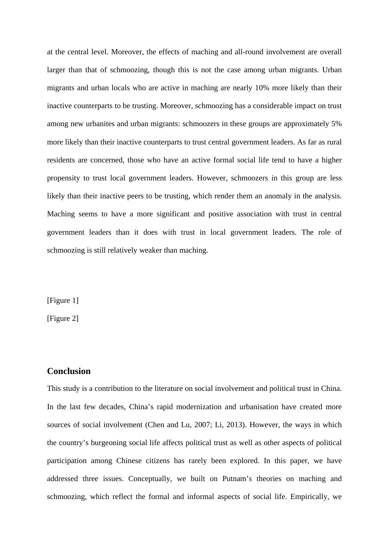at the central level. Moreover, the effects of maching and all-round involvement are overall larger than that of schmoozing, though this is not the case among urban migrants. Urban migrants and urban locals who are active in maching are nearly 10% more likely than their inactive counterparts to be trusting. Moreover, schmoozing has a considerable impact on trust among new urbanites and urban migrants: schmoozers in these groups are approximately 5% more likely than their inactive counterparts to trust central government leaders. As far as rural residents are concerned, those who have an active formal social life tend to have a higher propensity to trust local government leaders. However, schmoozers in this group are less likely than their inactive peers to be trusting, which render them an anomaly in the analysis. Maching seems to have a more significant and positive association with trust in central government leaders than it does with trust in local government leaders. The role of schmoozing is still relatively weaker than maching.

[Figure 1]

[Figure 2]

## **Conclusion**

This study is a contribution to the literature on social involvement and political trust in China. In the last few decades, China's rapid modernization and urbanisation have created more sources of social involvement (Chen and Lu, 2007; Li, 2013). However, the ways in which the country's burgeoning social life affects political trust as well as other aspects of political participation among Chinese citizens has rarely been explored. In this paper, we have addressed three issues. Conceptually, we built on Putnam's theories on maching and schmoozing, which reflect the formal and informal aspects of social life. Empirically, we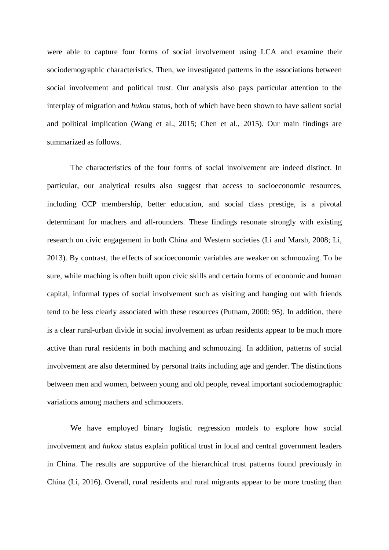were able to capture four forms of social involvement using LCA and examine their sociodemographic characteristics. Then, we investigated patterns in the associations between social involvement and political trust. Our analysis also pays particular attention to the interplay of migration and *hukou* status, both of which have been shown to have salient social and political implication (Wang et al., 2015; Chen et al., 2015). Our main findings are summarized as follows.

The characteristics of the four forms of social involvement are indeed distinct. In particular, our analytical results also suggest that access to socioeconomic resources, including CCP membership, better education, and social class prestige, is a pivotal determinant for machers and all-rounders. These findings resonate strongly with existing research on civic engagement in both China and Western societies (Li and Marsh, 2008; Li, 2013). By contrast, the effects of socioeconomic variables are weaker on schmoozing. To be sure, while maching is often built upon civic skills and certain forms of economic and human capital, informal types of social involvement such as visiting and hanging out with friends tend to be less clearly associated with these resources (Putnam, 2000: 95). In addition, there is a clear rural-urban divide in social involvement as urban residents appear to be much more active than rural residents in both maching and schmoozing. In addition, patterns of social involvement are also determined by personal traits including age and gender. The distinctions between men and women, between young and old people, reveal important sociodemographic variations among machers and schmoozers.

We have employed binary logistic regression models to explore how social involvement and *hukou* status explain political trust in local and central government leaders in China. The results are supportive of the hierarchical trust patterns found previously in China (Li, 2016). Overall, rural residents and rural migrants appear to be more trusting than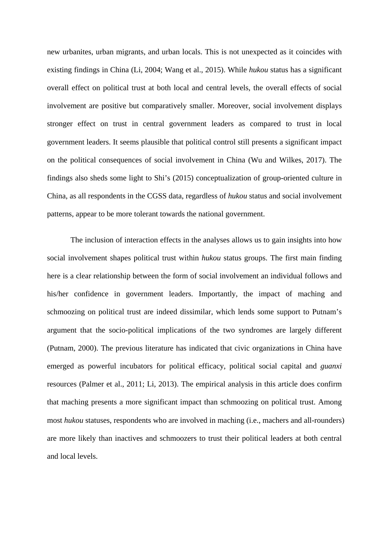new urbanites, urban migrants, and urban locals. This is not unexpected as it coincides with existing findings in China (Li, 2004; Wang et al., 2015). While *hukou* status has a significant overall effect on political trust at both local and central levels, the overall effects of social involvement are positive but comparatively smaller. Moreover, social involvement displays stronger effect on trust in central government leaders as compared to trust in local government leaders. It seems plausible that political control still presents a significant impact on the political consequences of social involvement in China (Wu and Wilkes, 2017). The findings also sheds some light to Shi's (2015) conceptualization of group-oriented culture in China, as all respondents in the CGSS data, regardless of *hukou* status and social involvement patterns, appear to be more tolerant towards the national government.

The inclusion of interaction effects in the analyses allows us to gain insights into how social involvement shapes political trust within *hukou* status groups. The first main finding here is a clear relationship between the form of social involvement an individual follows and his/her confidence in government leaders. Importantly, the impact of maching and schmoozing on political trust are indeed dissimilar, which lends some support to Putnam's argument that the socio-political implications of the two syndromes are largely different (Putnam, 2000). The previous literature has indicated that civic organizations in China have emerged as powerful incubators for political efficacy, political social capital and *guanxi* resources (Palmer et al., 2011; Li, 2013). The empirical analysis in this article does confirm that maching presents a more significant impact than schmoozing on political trust. Among most *hukou* statuses, respondents who are involved in maching (i.e., machers and all-rounders) are more likely than inactives and schmoozers to trust their political leaders at both central and local levels.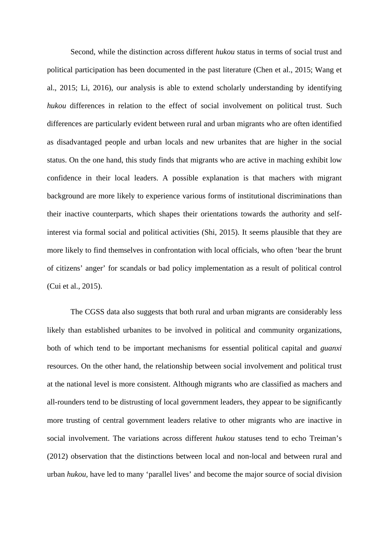Second, while the distinction across different *hukou* status in terms of social trust and political participation has been documented in the past literature (Chen et al., 2015; Wang et al., 2015; Li, 2016), our analysis is able to extend scholarly understanding by identifying *hukou* differences in relation to the effect of social involvement on political trust. Such differences are particularly evident between rural and urban migrants who are often identified as disadvantaged people and urban locals and new urbanites that are higher in the social status. On the one hand, this study finds that migrants who are active in maching exhibit low confidence in their local leaders. A possible explanation is that machers with migrant background are more likely to experience various forms of institutional discriminations than their inactive counterparts, which shapes their orientations towards the authority and selfinterest via formal social and political activities (Shi, 2015). It seems plausible that they are more likely to find themselves in confrontation with local officials, who often 'bear the brunt of citizens' anger' for scandals or bad policy implementation as a result of political control (Cui et al., 2015).

The CGSS data also suggests that both rural and urban migrants are considerably less likely than established urbanites to be involved in political and community organizations, both of which tend to be important mechanisms for essential political capital and *guanxi*  resources. On the other hand, the relationship between social involvement and political trust at the national level is more consistent. Although migrants who are classified as machers and all-rounders tend to be distrusting of local government leaders, they appear to be significantly more trusting of central government leaders relative to other migrants who are inactive in social involvement. The variations across different *hukou* statuses tend to echo Treiman's (2012) observation that the distinctions between local and non-local and between rural and urban *hukou,* have led to many 'parallel lives' and become the major source of social division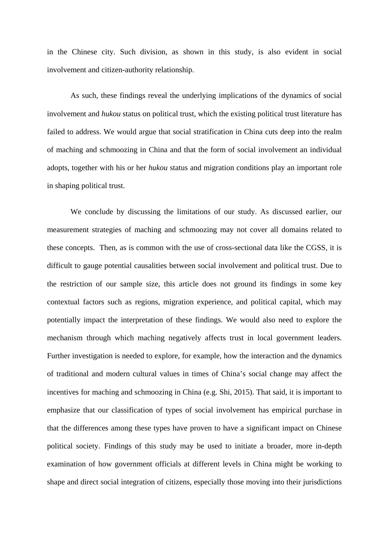in the Chinese city. Such division, as shown in this study, is also evident in social involvement and citizen-authority relationship.

As such, these findings reveal the underlying implications of the dynamics of social involvement and *hukou* status on political trust, which the existing political trust literature has failed to address. We would argue that social stratification in China cuts deep into the realm of maching and schmoozing in China and that the form of social involvement an individual adopts, together with his or her *hukou* status and migration conditions play an important role in shaping political trust.

We conclude by discussing the limitations of our study. As discussed earlier, our measurement strategies of maching and schmoozing may not cover all domains related to these concepts. Then, as is common with the use of cross-sectional data like the CGSS, it is difficult to gauge potential causalities between social involvement and political trust. Due to the restriction of our sample size, this article does not ground its findings in some key contextual factors such as regions, migration experience, and political capital, which may potentially impact the interpretation of these findings. We would also need to explore the mechanism through which maching negatively affects trust in local government leaders. Further investigation is needed to explore, for example, how the interaction and the dynamics of traditional and modern cultural values in times of China's social change may affect the incentives for maching and schmoozing in China (e.g. Shi, 2015). That said, it is important to emphasize that our classification of types of social involvement has empirical purchase in that the differences among these types have proven to have a significant impact on Chinese political society. Findings of this study may be used to initiate a broader, more in-depth examination of how government officials at different levels in China might be working to shape and direct social integration of citizens, especially those moving into their jurisdictions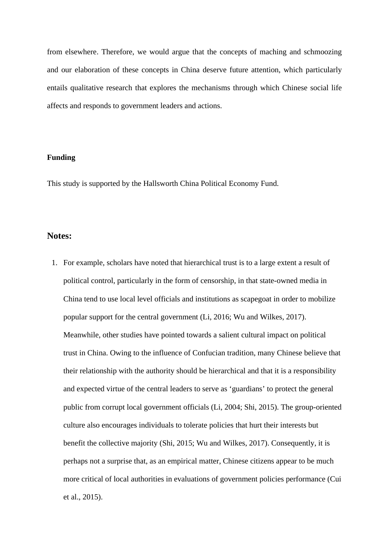from elsewhere. Therefore, we would argue that the concepts of maching and schmoozing and our elaboration of these concepts in China deserve future attention, which particularly entails qualitative research that explores the mechanisms through which Chinese social life affects and responds to government leaders and actions.

#### **Funding**

This study is supported by the Hallsworth China Political Economy Fund.

## **Notes:**

1. For example, scholars have noted that hierarchical trust is to a large extent a result of political control, particularly in the form of censorship, in that state-owned media in China tend to use local level officials and institutions as scapegoat in order to mobilize popular support for the central government (Li, 2016; Wu and Wilkes, 2017). Meanwhile, other studies have pointed towards a salient cultural impact on political trust in China. Owing to the influence of Confucian tradition, many Chinese believe that their relationship with the authority should be hierarchical and that it is a responsibility and expected virtue of the central leaders to serve as 'guardians' to protect the general public from corrupt local government officials (Li, 2004; Shi, 2015). The group-oriented culture also encourages individuals to tolerate policies that hurt their interests but benefit the collective majority (Shi, 2015; Wu and Wilkes, 2017). Consequently, it is perhaps not a surprise that, as an empirical matter, Chinese citizens appear to be much more critical of local authorities in evaluations of government policies performance (Cui et al., 2015).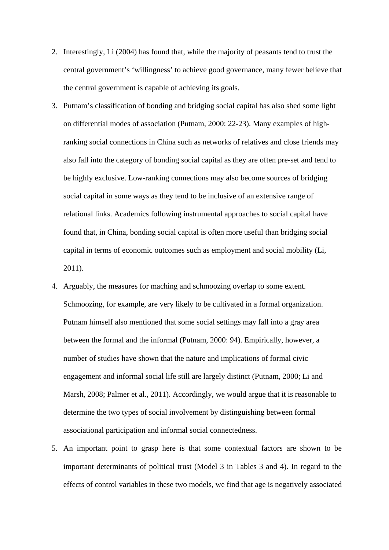- 2. Interestingly, Li (2004) has found that, while the majority of peasants tend to trust the central government's 'willingness' to achieve good governance, many fewer believe that the central government is capable of achieving its goals.
- 3. Putnam's classification of bonding and bridging social capital has also shed some light on differential modes of association (Putnam, 2000: 22-23). Many examples of highranking social connections in China such as networks of relatives and close friends may also fall into the category of bonding social capital as they are often pre-set and tend to be highly exclusive. Low-ranking connections may also become sources of bridging social capital in some ways as they tend to be inclusive of an extensive range of relational links. Academics following instrumental approaches to social capital have found that, in China, bonding social capital is often more useful than bridging social capital in terms of economic outcomes such as employment and social mobility (Li, 2011).
- 4. Arguably, the measures for maching and schmoozing overlap to some extent. Schmoozing, for example, are very likely to be cultivated in a formal organization. Putnam himself also mentioned that some social settings may fall into a gray area between the formal and the informal (Putnam, 2000: 94). Empirically, however, a number of studies have shown that the nature and implications of formal civic engagement and informal social life still are largely distinct (Putnam, 2000; Li and Marsh, 2008; Palmer et al., 2011). Accordingly, we would argue that it is reasonable to determine the two types of social involvement by distinguishing between formal associational participation and informal social connectedness.
- 5. An important point to grasp here is that some contextual factors are shown to be important determinants of political trust (Model 3 in Tables 3 and 4). In regard to the effects of control variables in these two models, we find that age is negatively associated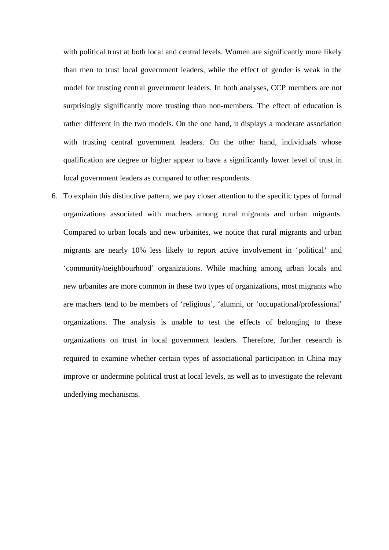with political trust at both local and central levels. Women are significantly more likely than men to trust local government leaders, while the effect of gender is weak in the model for trusting central government leaders. In both analyses, CCP members are not surprisingly significantly more trusting than non-members. The effect of education is rather different in the two models. On the one hand, it displays a moderate association with trusting central government leaders. On the other hand, individuals whose qualification are degree or higher appear to have a significantly lower level of trust in local government leaders as compared to other respondents.

6. To explain this distinctive pattern, we pay closer attention to the specific types of formal organizations associated with machers among rural migrants and urban migrants. Compared to urban locals and new urbanites, we notice that rural migrants and urban migrants are nearly 10% less likely to report active involvement in 'political' and 'community/neighbourhood' organizations. While maching among urban locals and new urbanites are more common in these two types of organizations, most migrants who are machers tend to be members of 'religious', 'alumni, or 'occupational/professional' organizations. The analysis is unable to test the effects of belonging to these organizations on trust in local government leaders. Therefore, further research is required to examine whether certain types of associational participation in China may improve or undermine political trust at local levels, as well as to investigate the relevant underlying mechanisms.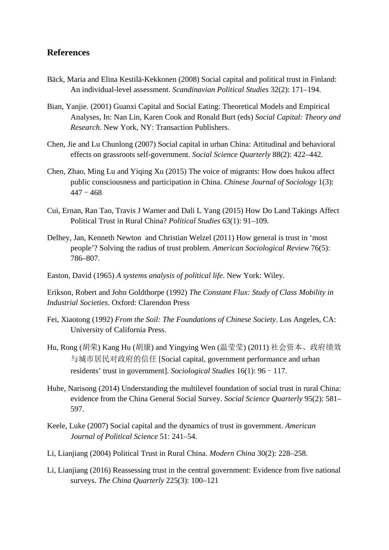## **References**

- Bäck, Maria and Elina Kestilä-Kekkonen (2008) Social capital and political trust in Finland: An individual-level assessment. *Scandinavian Political Studies* 32(2): 171–194.
- Bian, Yanjie. (2001) Guanxi Capital and Social Eating: Theoretical Models and Empirical Analyses, In: Nan Lin, Karen Cook and Ronald Burt (eds) *Social Capital: Theory and Research*. New York, NY: Transaction Publishers.
- Chen, Jie and Lu Chunlong (2007) Social capital in urban China: Attitudinal and behavioral effects on grassroots self-government. *Social Science Quarterly* 88(2): 422–442.
- Chen, Zhao, Ming Lu and Yiqing Xu (2015) The voice of migrants: How does hukou affect public consciousness and participation in China. *Chinese Journal of Sociology* 1(3): 447–468
- Cui, Ernan, Ran Tao, Travis J Warner and Dali L Yang (2015) How Do Land Takings Affect Political Trust in Rural China? *Political Studies* 63(1): 91–109.
- Delhey, Jan, Kenneth Newton and Christian Welzel (2011) How general is trust in 'most people'? Solving the radius of trust problem. *American Sociological Review* 76(5): 786–807.
- Easton, David (1965) *A systems analysis of political life*. New York: Wiley.

Erikson, Robert and John Goldthorpe (1992) *The Constant Flux: Study of Class Mobility in Industrial Societies*. Oxford: Clarendon Press

- Fei, Xiaotong (1992) *From the Soil: The Foundations of Chinese Society*. Los Angeles, CA: University of California Press.
- Hu, Rong (胡荣) Kang Hu (胡康) and Yingying Wen (温莹莹) (2011) 社会资本、政府绩效 与城市居民对政府的信任 [Social capital, government performance and urban residents' trust in government]. *Sociological Studies* 16(1): 96–117.
- Huhe, Narisong (2014) Understanding the multilevel foundation of social trust in rural China: evidence from the China General Social Survey. *Social Science Quarterly* 95(2): 581– 597.
- Keele, Luke (2007) Social capital and the dynamics of trust in government. *American Journal of Political Science* 51: 241–54.
- Li, Lianjiang (2004) Political Trust in Rural China. *Modern China* 30(2): 228–258.
- Li, Lianjiang (2016) Reassessing trust in the central government: Evidence from five national surveys. *The China Quarterly* 225(3): 100–121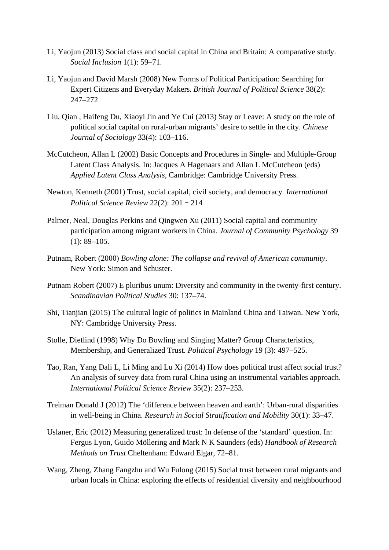- Li, Yaojun (2013) Social class and social capital in China and Britain: A comparative study. *Social Inclusion* 1(1): 59–71.
- Li, Yaojun and David Marsh (2008) New Forms of Political Participation: Searching for Expert Citizens and Everyday Makers*. British Journal of Political Science* 38(2): 247–272
- Liu, Qian , Haifeng Du, Xiaoyi Jin and Ye Cui (2013) Stay or Leave: A study on the role of political social capital on rural-urban migrants' desire to settle in the city. *Chinese Journal of Sociology* 33(4): 103–116.
- McCutcheon, Allan L (2002) Basic Concepts and Procedures in Single- and Multiple-Group Latent Class Analysis. In: Jacques A Hagenaars and Allan L McCutcheon (eds) *Applied Latent Class Analysis,* Cambridge: Cambridge University Press.
- Newton, Kenneth (2001) Trust, social capital, civil society, and democracy*. International Political Science Review* 22(2): 201–214
- Palmer, Neal, Douglas Perkins and Qingwen Xu (2011) Social capital and community participation among migrant workers in China. *Journal of Community Psychology* 39  $(1): 89-105.$
- Putnam, Robert (2000) *Bowling alone: The collapse and revival of American community*. New York: Simon and Schuster.
- Putnam Robert (2007) E pluribus unum: Diversity and community in the twenty-first century. *Scandinavian Political Studies* 30: 137–74.
- Shi, Tianjian (2015) The cultural logic of politics in Mainland China and Taiwan. New York, NY: Cambridge University Press.
- Stolle, Dietlind (1998) Why Do Bowling and Singing Matter? Group Characteristics, Membership, and Generalized Trust. *Political Psychology* 19 (3): 497–525.
- Tao, Ran, Yang Dali L, Li Ming and Lu Xi (2014) How does political trust affect social trust? An analysis of survey data from rural China using an instrumental variables approach. *International Political Science Review* 35(2): 237–253.
- Treiman Donald J (2012) The 'difference between heaven and earth': Urban-rural disparities in well-being in China. *Research in Social Stratification and Mobility* 30(1): 33–47.
- Uslaner, Eric (2012) Measuring generalized trust: In defense of the 'standard' question. In: Fergus Lyon, Guido Möllering and Mark N K Saunders (eds) *Handbook of Research Methods on Trust* Cheltenham: Edward Elgar, 72–81.
- Wang, Zheng, Zhang Fangzhu and Wu Fulong (2015) Social trust between rural migrants and urban locals in China: exploring the effects of residential diversity and neighbourhood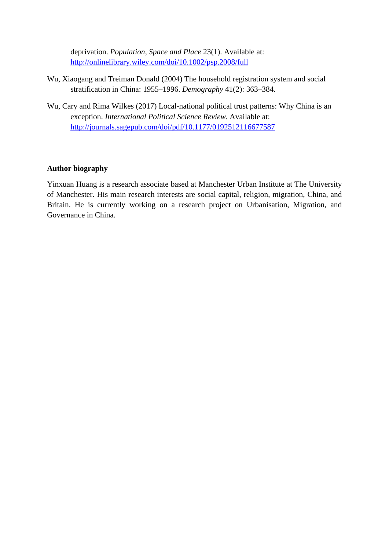deprivation. *Population, Space and Place* 23(1). Available at: <http://onlinelibrary.wiley.com/doi/10.1002/psp.2008/full>

- Wu, Xiaogang and Treiman Donald (2004) The household registration system and social stratification in China: 1955–1996. *Demography* 41(2): 363–384.
- Wu, Cary and Rima Wilkes (2017) Local-national political trust patterns: Why China is an exception. *International Political Science Review*. Available at: <http://journals.sagepub.com/doi/pdf/10.1177/0192512116677587>

#### **Author biography**

Yinxuan Huang is a research associate based at Manchester Urban Institute at The University of Manchester. His main research interests are social capital, religion, migration, China, and Britain. He is currently working on a research project on Urbanisation, Migration, and Governance in China.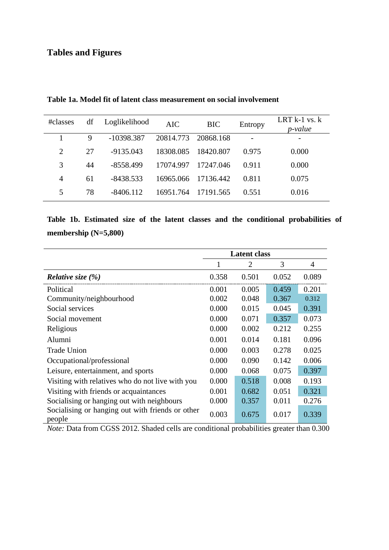## **Tables and Figures**

| #classes | df | Loglikelihood | <b>AIC</b> | <b>BIC</b>          | Entropy | LRT $k-1$ vs. $k$<br><i>p</i> -value |
|----------|----|---------------|------------|---------------------|---------|--------------------------------------|
|          | 9  | $-10398.387$  | 20814.773  | 20868.168           |         | -                                    |
| 2        | 27 | -9135.043     | 18308.085  | 18420.807           | 0.975   | 0.000                                |
| 3        | 44 | -8558.499     | 17074.997  | 17247.046           | 0.911   | 0.000                                |
| 4        | 61 | -8438.533     |            | 16965.066 17136.442 | 0.811   | 0.075                                |
| 5        | 78 | $-8406.112$   | 16951.764  | 17191.565           | 0.551   | 0.016                                |

**Table 1a. Model fit of latent class measurement on social involvement**

**Table 1b. Estimated size of the latent classes and the conditional probabilities of membership (N=5,800)**

|                                                            |       | <b>Latent class</b> |       |       |
|------------------------------------------------------------|-------|---------------------|-------|-------|
|                                                            | 1     | $\overline{2}$      | 3     | 4     |
| <i>Relative size</i> $(\%)$                                | 0.358 | 0.501               | 0.052 | 0.089 |
| Political                                                  | 0.001 | 0.005               | 0.459 | 0.201 |
| Community/neighbourhood                                    | 0.002 | 0.048               | 0.367 | 0.312 |
| Social services                                            | 0.000 | 0.015               | 0.045 | 0.391 |
| Social movement                                            | 0.000 | 0.071               | 0.357 | 0.073 |
| Religious                                                  | 0.000 | 0.002               | 0.212 | 0.255 |
| Alumni                                                     | 0.001 | 0.014               | 0.181 | 0.096 |
| <b>Trade Union</b>                                         | 0.000 | 0.003               | 0.278 | 0.025 |
| Occupational/professional                                  | 0.000 | 0.090               | 0.142 | 0.006 |
| Leisure, entertainment, and sports                         | 0.000 | 0.068               | 0.075 | 0.397 |
| Visiting with relatives who do not live with you           | 0.000 | 0.518               | 0.008 | 0.193 |
| Visiting with friends or acquaintances                     | 0.001 | 0.682               | 0.051 | 0.321 |
| Socialising or hanging out with neighbours                 | 0.000 | 0.357               | 0.011 | 0.276 |
| Socialising or hanging out with friends or other<br>people | 0.003 | 0.675               | 0.017 | 0.339 |

*Note:* Data from CGSS 2012. Shaded cells are conditional probabilities greater than 0.300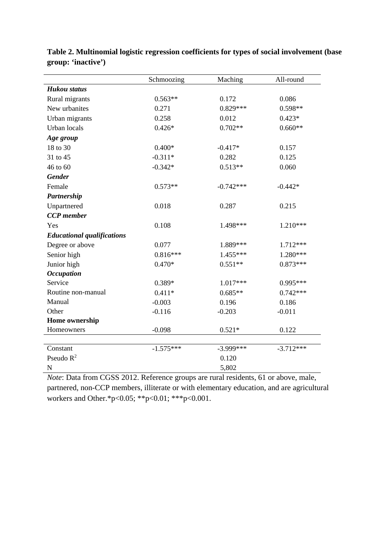|                                   | Schmoozing  | Maching     | All-round   |
|-----------------------------------|-------------|-------------|-------------|
| <b>Hukou</b> status               |             |             |             |
| Rural migrants                    | $0.563**$   | 0.172       | 0.086       |
| New urbanites                     | 0.271       | $0.829***$  | $0.598**$   |
| Urban migrants                    | 0.258       | 0.012       | $0.423*$    |
| Urban locals                      | $0.426*$    | $0.702**$   | $0.660**$   |
| Age group                         |             |             |             |
| 18 to 30                          | $0.400*$    | $-0.417*$   | 0.157       |
| 31 to 45                          | $-0.311*$   | 0.282       | 0.125       |
| 46 to 60                          | $-0.342*$   | $0.513**$   | 0.060       |
| <b>Gender</b>                     |             |             |             |
| Female                            | $0.573**$   | $-0.742***$ | $-0.442*$   |
| Partnership                       |             |             |             |
| Unpartnered                       | 0.018       | 0.287       | 0.215       |
| <b>CCP</b> member                 |             |             |             |
| Yes                               | 0.108       | 1.498***    | 1.210***    |
| <b>Educational qualifications</b> |             |             |             |
| Degree or above                   | 0.077       | 1.889***    | 1.712***    |
| Senior high                       | $0.816***$  | 1.455***    | 1.280***    |
| Junior high                       | $0.470*$    | $0.551**$   | $0.873***$  |
| <b>Occupation</b>                 |             |             |             |
| Service                           | 0.389*      | 1.017***    | $0.995***$  |
| Routine non-manual                | $0.411*$    | $0.685**$   | $0.742***$  |
| Manual                            | $-0.003$    | 0.196       | 0.186       |
| Other                             | $-0.116$    | $-0.203$    | $-0.011$    |
| Home ownership                    |             |             |             |
| Homeowners                        | $-0.098$    | $0.521*$    | 0.122       |
|                                   |             |             |             |
| Constant                          | $-1.575***$ | $-3.999***$ | $-3.712***$ |
| Pseudo $R^2$                      |             | 0.120       |             |
| $\mathbf N$                       |             | 5,802       |             |

**Table 2. Multinomial logistic regression coefficients for types of social involvement (base group: 'inactive')**

*Note*: Data from CGSS 2012. Reference groups are rural residents, 61 or above, male, partnered, non-CCP members, illiterate or with elementary education, and are agricultural workers and Other.\*p<0.05; \*\*p<0.01; \*\*\*p<0.001.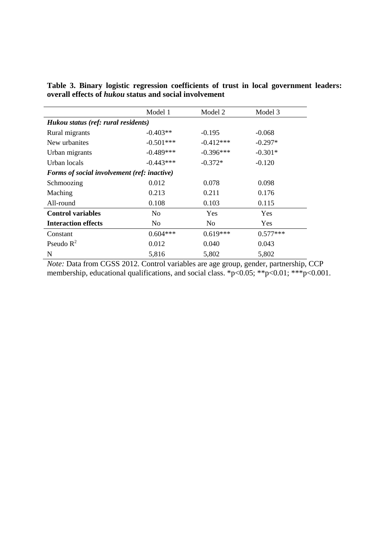|                                                    | Model 1     | Model 2        | Model 3    |
|----------------------------------------------------|-------------|----------------|------------|
| Hukou status (ref: rural residents)                |             |                |            |
| Rural migrants                                     | $-0.403**$  | $-0.195$       | $-0.068$   |
| New urbanites                                      | $-0.501***$ | $-0.412***$    | $-0.297*$  |
| Urban migrants                                     | $-0.489***$ | $-0.396***$    | $-0.301*$  |
| Urban locals                                       | $-0.443***$ | $-0.372*$      | $-0.120$   |
| <b>Forms of social involvement (ref: inactive)</b> |             |                |            |
| Schmoozing                                         | 0.012       | 0.078          | 0.098      |
| Maching                                            | 0.213       | 0.211          | 0.176      |
| All-round                                          | 0.108       | 0.103          | 0.115      |
| <b>Control variables</b>                           | No          | <b>Yes</b>     | Yes        |
| <b>Interaction effects</b>                         | No          | N <sub>0</sub> | Yes        |
| Constant                                           | $0.604***$  | $0.619***$     | $0.577***$ |
| Pseudo $R^2$                                       | 0.012       | 0.040          | 0.043      |
| N                                                  | 5,816       | 5,802          | 5,802      |

**Table 3. Binary logistic regression coefficients of trust in local government leaders: overall effects of** *hukou* **status and social involvement** 

*Note:* Data from CGSS 2012. Control variables are age group, gender, partnership, CCP membership, educational qualifications, and social class. \*p<0.05; \*\*p<0.01; \*\*\*p<0.001.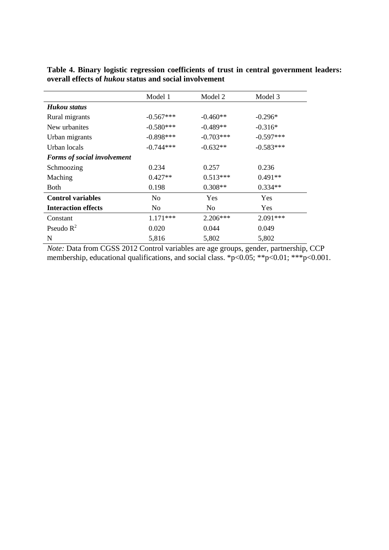|                             | Model 1        | Model 2     | Model 3     |
|-----------------------------|----------------|-------------|-------------|
| Hukou status                |                |             |             |
| Rural migrants              | $-0.567***$    | $-0.460**$  | $-0.296*$   |
| New urbanites               | $-0.580***$    | $-0.489**$  | $-0.316*$   |
| Urban migrants              | $-0.898***$    | $-0.703***$ | $-0.597***$ |
| Urban locals                | $-0.744***$    | $-0.632**$  | $-0.583***$ |
| Forms of social involvement |                |             |             |
| Schmoozing                  | 0.234          | 0.257       | 0.236       |
| Maching                     | $0.427**$      | $0.513***$  | $0.491**$   |
| Both                        | 0.198          | $0.308**$   | $0.334**$   |
| <b>Control variables</b>    | N <sub>0</sub> | Yes         | <b>Yes</b>  |
| <b>Interaction effects</b>  | No             | No.         | Yes         |
| Constant                    | $1.171***$     | 2.206***    | $2.091***$  |
| Pseudo $R^2$                | 0.020          | 0.044       | 0.049       |
| N                           | 5,816          | 5,802       | 5,802       |

**Table 4. Binary logistic regression coefficients of trust in central government leaders: overall effects of** *hukou* **status and social involvement** 

*Note:* Data from CGSS 2012 Control variables are age groups, gender, partnership, CCP membership, educational qualifications, and social class. \*p<0.05; \*\*p<0.01; \*\*\*p<0.001.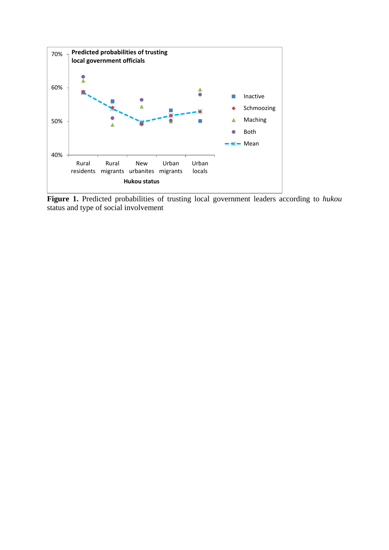

**Figure 1.** Predicted probabilities of trusting local government leaders according to *hukou* status and type of social involvement